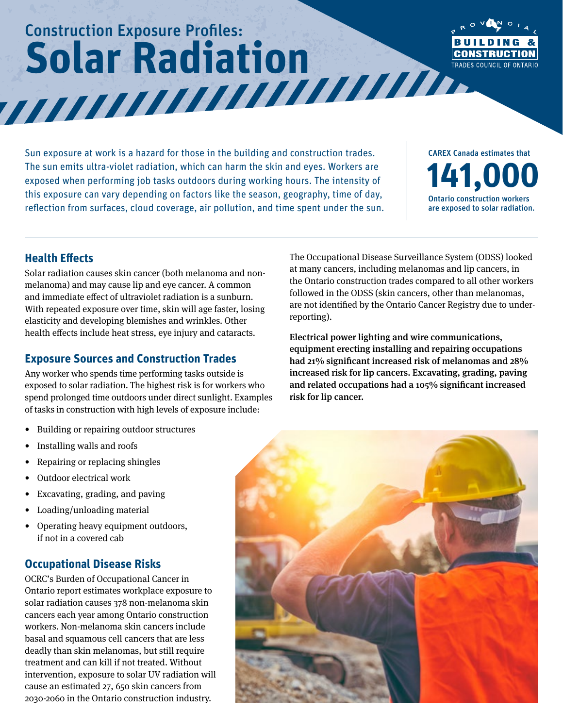# Construction Exposure Profiles: **Solar Radiation**



Sun exposure at work is a hazard for those in the building and construction trades. The sun emits ultra-violet radiation, which can harm the skin and eyes. Workers are exposed when performing job tasks outdoors during working hours. The intensity of this exposure can vary depending on factors like the season, geography, time of day, reflection from surfaces, cloud coverage, air pollution, and time spent under the sun. CAREX Canada estimates that **141,000** Ontario construction workers are exposed to solar radiation.

The Occupational Disease Surveillance System (ODSS) looked at many cancers, including melanomas and lip cancers, in the Ontario construction trades compared to all other workers followed in the ODSS (skin cancers, other than melanomas, are not identified by the Ontario Cancer Registry due to under-

Electrical power lighting and wire communications, equipment erecting installing and repairing occupations had 21% significant increased risk of melanomas and 28% increased risk for lip cancers. Excavating, grading, paving and related occupations had a 105% significant increased

reporting).

risk for lip cancer.

#### **Health Effects**

Solar radiation causes skin cancer (both melanoma and nonmelanoma) and may cause lip and eye cancer. A common and immediate effect of ultraviolet radiation is a sunburn. With repeated exposure over time, skin will age faster, losing elasticity and developing blemishes and wrinkles. Other health effects include heat stress, eye injury and cataracts.

### **Exposure Sources and Construction Trades**

Any worker who spends time performing tasks outside is exposed to solar radiation. The highest risk is for workers who spend prolonged time outdoors under direct sunlight. Examples of tasks in construction with high levels of exposure include:

- Building or repairing outdoor structures
- Installing walls and roofs
- Repairing or replacing shingles
- Outdoor electrical work
- Excavating, grading, and paving
- Loading/unloading material
- Operating heavy equipment outdoors, if not in a covered cab

### **Occupational Disease Risks**

OCRC's Burden of Occupational Cancer in Ontario report estimates workplace exposure to solar radiation causes 378 non-melanoma skin cancers each year among Ontario construction workers. Non-melanoma skin cancers include basal and squamous cell cancers that are less deadly than skin melanomas, but still require treatment and can kill if not treated. Without intervention, exposure to solar UV radiation will cause an estimated 27, 650 skin cancers from 2030-2060 in the Ontario construction industry.